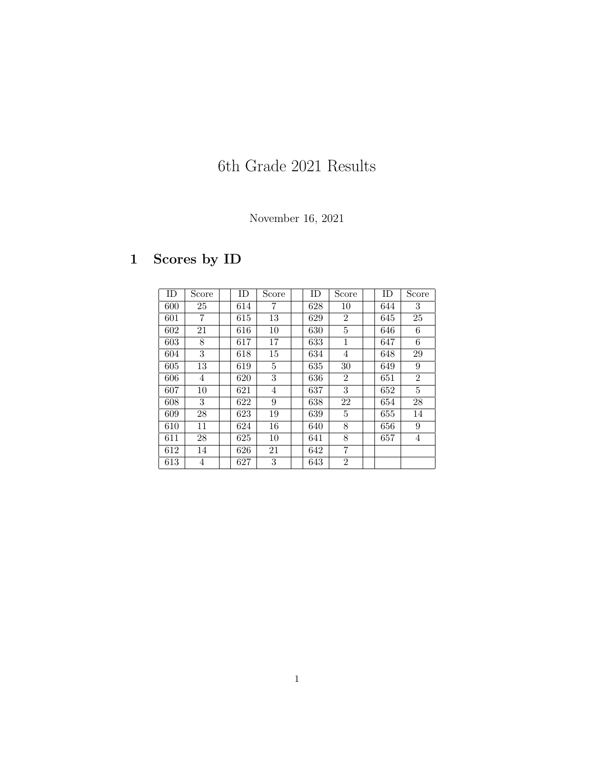# 6th Grade 2021 Results

### November 16, 2021

## 1 Scores by ID

| ID  | Score          | ID  | Score | ID  | Score          | ID  | Score          |
|-----|----------------|-----|-------|-----|----------------|-----|----------------|
| 600 | 25             | 614 | 7     | 628 | 10             | 644 | 3              |
| 601 | 7              | 615 | 13    | 629 | $\overline{2}$ | 645 | 25             |
| 602 | 21             | 616 | 10    | 630 | 5              | 646 | 6              |
| 603 | 8              | 617 | 17    | 633 | 1              | 647 | 6              |
| 604 | 3              | 618 | 15    | 634 | 4              | 648 | 29             |
| 605 | 13             | 619 | 5     | 635 | 30             | 649 | 9              |
| 606 | $\overline{4}$ | 620 | 3     | 636 | $\overline{2}$ | 651 | $\overline{2}$ |
| 607 | 10             | 621 | 4     | 637 | 3              | 652 | $\overline{5}$ |
| 608 | 3              | 622 | 9     | 638 | 22             | 654 | 28             |
| 609 | 28             | 623 | 19    | 639 | 5              | 655 | 14             |
| 610 | 11             | 624 | 16    | 640 | 8              | 656 | 9              |
| 611 | 28             | 625 | 10    | 641 | 8              | 657 | 4              |
| 612 | 14             | 626 | 21    | 642 | 7              |     |                |
| 613 | 4              | 627 | 3     | 643 | $\overline{2}$ |     |                |